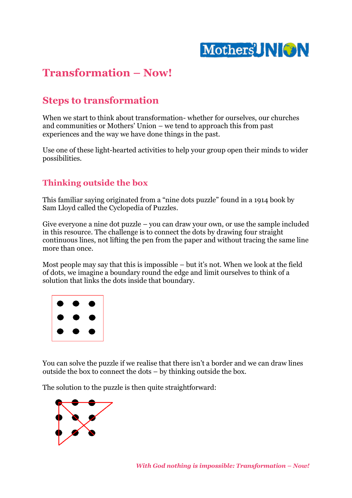

## **Transformation – Now!**

### **Steps to transformation**

When we start to think about transformation- whether for ourselves, our churches and communities or Mothers' Union – we tend to approach this from past experiences and the way we have done things in the past.

Use one of these light-hearted activities to help your group open their minds to wider possibilities.

#### **Thinking outside the box**

This familiar saying originated from a "nine dots puzzle" found in a 1914 book by Sam Lloyd called the Cyclopedia of Puzzles.

Give everyone a nine dot puzzle – you can draw your own, or use the sample included in this resource. The challenge is to connect the dots by drawing four straight continuous lines, not lifting the pen from the paper and without tracing the same line more than once.

Most people may say that this is impossible – but it's not. When we look at the field of dots, we imagine a boundary round the edge and limit ourselves to think of a solution that links the dots inside that boundary.



You can solve the puzzle if we realise that there isn't a border and we can draw lines outside the box to connect the dots – by thinking outside the box.

The solution to the puzzle is then quite straightforward:

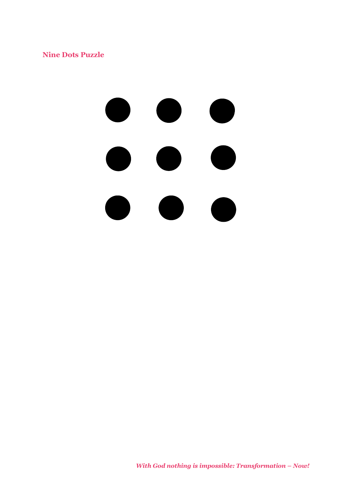**Nine Dots Puzzle**

# $\bullet$  $\bullet$

*With God nothing is impossible: Transformation – Now!*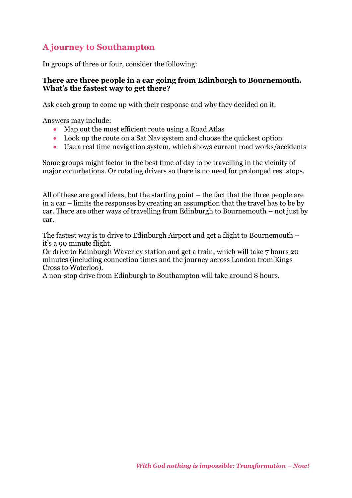#### **A journey to Southampton**

In groups of three or four, consider the following:

#### **There are three people in a car going from Edinburgh to Bournemouth. What's the fastest way to get there?**

Ask each group to come up with their response and why they decided on it.

Answers may include:

- Map out the most efficient route using a Road Atlas
- Look up the route on a Sat Nav system and choose the quickest option
- Use a real time navigation system, which shows current road works/accidents

Some groups might factor in the best time of day to be travelling in the vicinity of major conurbations. Or rotating drivers so there is no need for prolonged rest stops.

All of these are good ideas, but the starting point – the fact that the three people are in a car – limits the responses by creating an assumption that the travel has to be by car. There are other ways of travelling from Edinburgh to Bournemouth – not just by car.

The fastest way is to drive to Edinburgh Airport and get a flight to Bournemouth – it's a 90 minute flight.

Or drive to Edinburgh Waverley station and get a train, which will take 7 hours 20 minutes (including connection times and the journey across London from Kings Cross to Waterloo).

A non-stop drive from Edinburgh to Southampton will take around 8 hours.